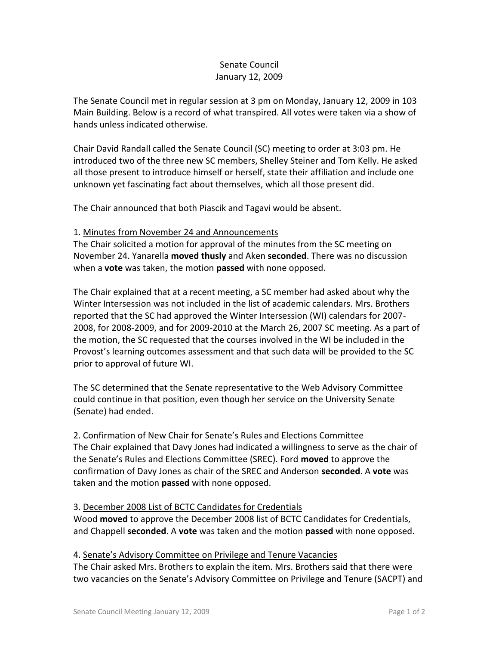# Senate Council January 12, 2009

The Senate Council met in regular session at 3 pm on Monday, January 12, 2009 in 103 Main Building. Below is a record of what transpired. All votes were taken via a show of hands unless indicated otherwise.

Chair David Randall called the Senate Council (SC) meeting to order at 3:03 pm. He introduced two of the three new SC members, Shelley Steiner and Tom Kelly. He asked all those present to introduce himself or herself, state their affiliation and include one unknown yet fascinating fact about themselves, which all those present did.

The Chair announced that both Piascik and Tagavi would be absent.

### 1. Minutes from November 24 and Announcements

The Chair solicited a motion for approval of the minutes from the SC meeting on November 24. Yanarella **moved thusly** and Aken **seconded**. There was no discussion when a **vote** was taken, the motion **passed** with none opposed.

The Chair explained that at a recent meeting, a SC member had asked about why the Winter Intersession was not included in the list of academic calendars. Mrs. Brothers reported that the SC had approved the Winter Intersession (WI) calendars for 2007- 2008, for 2008-2009, and for 2009-2010 at the March 26, 2007 SC meeting. As a part of the motion, the SC requested that the courses involved in the WI be included in the Provost's learning outcomes assessment and that such data will be provided to the SC prior to approval of future WI.

The SC determined that the Senate representative to the Web Advisory Committee could continue in that position, even though her service on the University Senate (Senate) had ended.

2. Confirmation of New Chair for Senate's Rules and Elections Committee The Chair explained that Davy Jones had indicated a willingness to serve as the chair of the Senate's Rules and Elections Committee (SREC). Ford **moved** to approve the confirmation of Davy Jones as chair of the SREC and Anderson **seconded**. A **vote** was taken and the motion **passed** with none opposed.

### 3. December 2008 List of BCTC Candidates for Credentials

Wood **moved** to approve the December 2008 list of BCTC Candidates for Credentials, and Chappell **seconded**. A **vote** was taken and the motion **passed** with none opposed.

### 4. Senate's Advisory Committee on Privilege and Tenure Vacancies

The Chair asked Mrs. Brothers to explain the item. Mrs. Brothers said that there were two vacancies on the Senate's Advisory Committee on Privilege and Tenure (SACPT) and